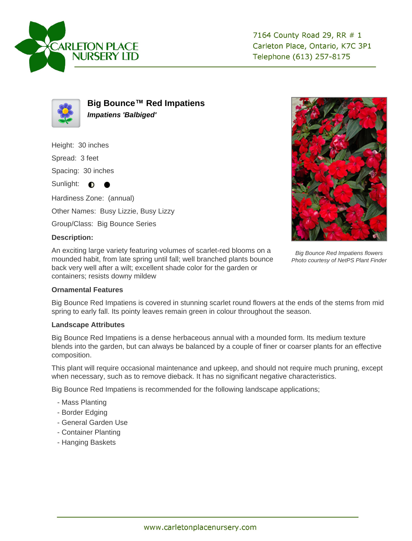



**Big Bounce™ Red Impatiens Impatiens 'Balbiged'**

Height: 30 inches

Spread: 3 feet

Spacing: 30 inches

Sunlight:  $\bullet$ 

Hardiness Zone: (annual)

Other Names: Busy Lizzie, Busy Lizzy

Group/Class: Big Bounce Series

## **Description:**

An exciting large variety featuring volumes of scarlet-red blooms on a mounded habit, from late spring until fall; well branched plants bounce back very well after a wilt; excellent shade color for the garden or containers; resists downy mildew



Big Bounce Red Impatiens flowers Photo courtesy of NetPS Plant Finder

## **Ornamental Features**

Big Bounce Red Impatiens is covered in stunning scarlet round flowers at the ends of the stems from mid spring to early fall. Its pointy leaves remain green in colour throughout the season.

## **Landscape Attributes**

Big Bounce Red Impatiens is a dense herbaceous annual with a mounded form. Its medium texture blends into the garden, but can always be balanced by a couple of finer or coarser plants for an effective composition.

This plant will require occasional maintenance and upkeep, and should not require much pruning, except when necessary, such as to remove dieback. It has no significant negative characteristics.

Big Bounce Red Impatiens is recommended for the following landscape applications;

- Mass Planting
- Border Edging
- General Garden Use
- Container Planting
- Hanging Baskets